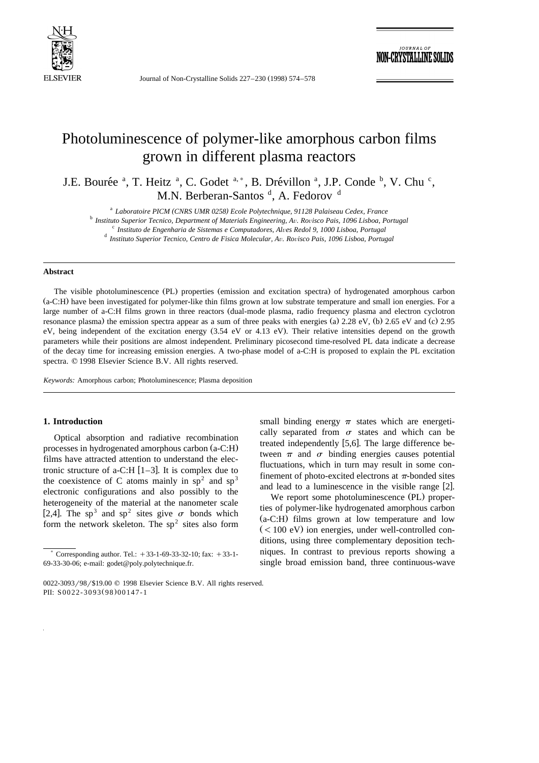

Journal of Non-Crystalline Solids 227-230 (1998) 574-578

**IOURNAL OF** -CRYSTALLINI

# Photoluminescence of polymer-like amorphous carbon films grown in different plasma reactors

J.E. Bourée <sup>a</sup>, T. Heitz <sup>a</sup>, C. Godet <sup>a,\*</sup>, B. Drévillon <sup>a</sup>, J.P. Conde <sup>b</sup>, V. Chu <sup>c</sup>, M.N. Berberan-Santos <sup>d</sup>, A. Fedorov <sup>d</sup>

<sup>a</sup> Laboratoire PICM (CNRS UMR 0258) Ecole Polytechnique, 91128 Palaiseau Cedex, France<br><sup>b</sup> Instituto Superior Tecnico, Department of Materials Engineering, Av. Rovisco Pais, 1096 Lisboa, Portugal<br><sup>c</sup> Instituto de Engenha

## **Abstract**

The visible photoluminescence (PL) properties (emission and excitation spectra) of hydrogenated amorphous carbon (a-C:H) have been investigated for polymer-like thin films grown at low substrate temperature and small ion energies. For a large number of a-C:H films grown in three reactors (dual-mode plasma, radio frequency plasma and electron cyclotron resonance plasma) the emission spectra appear as a sum of three peaks with energies (a)  $2.28 \text{ eV}$ , (b)  $2.65 \text{ eV}$  and (c)  $2.95 \text{ eV}$ eV, being independent of the excitation energy (3.54 eV or 4.13 eV). Their relative intensities depend on the growth parameters while their positions are almost independent. Preliminary picosecond time-resolved PL data indicate a decrease of the decay time for increasing emission energies. A two-phase model of a-C:H is proposed to explain the PL excitation spectra.  $© 1998$  Elsevier Science B.V. All rights reserved.

*Keywords:* Amorphous carbon; Photoluminescence; Plasma deposition

# **1. Introduction**

Optical absorption and radiative recombination processes in hydrogenated amorphous carbon  $(a-C:H)$ films have attracted attention to understand the electronic structure of a-C:H  $[1-3]$ . It is complex due to the coexistence of C atoms mainly in  $sp<sup>2</sup>$  and  $sp<sup>3</sup>$ electronic configurations and also possibly to the heterogeneity of the material at the nanometer scale [2,4]. The sp<sup>3</sup> and sp<sup>2</sup> sites give  $\sigma$  bonds which form the network skeleton. The  $sp<sup>2</sup>$  sites also form

small binding energy  $\pi$  states which are energetically separated from  $\sigma$  states and which can be treated independently  $[5,6]$ . The large difference between  $\pi$  and  $\sigma$  binding energies causes potential fluctuations, which in turn may result in some confinement of photo-excited electrons at  $\pi$ -bonded sites and lead to a luminescence in the visible range  $[2]$ .

We report some photoluminescence (PL) properties of polymer-like hydrogenated amorphous carbon  $(a-C:H)$  films grown at low temperature and low  $(< 100$  eV) ion energies, under well-controlled conditions, using three complementary deposition techniques. In contrast to previous reports showing a single broad emission band, three continuous-wave

Corresponding author. Tel.:  $+33-1-69-33-32-10$ ; fax:  $+33-1-$ 69-33-30-06; e-mail: godet@poly.polytechnique.fr.

<sup>0022-3093/98/\$19.00 © 1998</sup> Elsevier Science B.V. All rights reserved. PII: S0022-3093(98)00147-1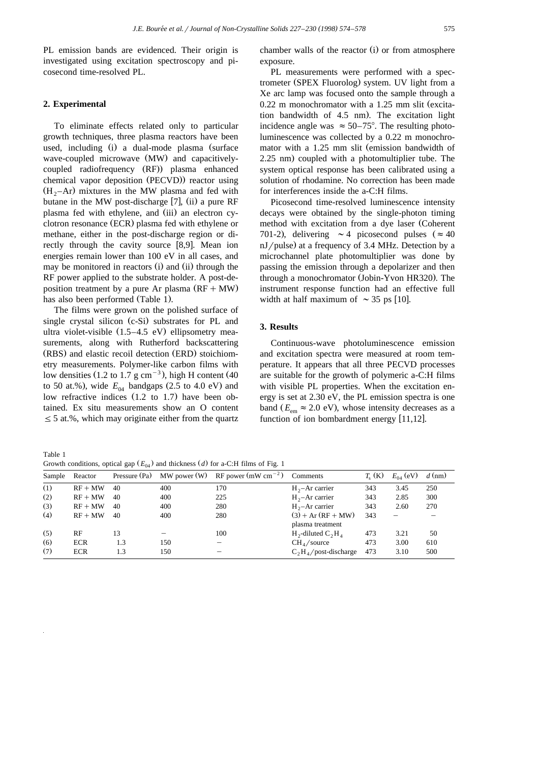PL emission bands are evidenced. Their origin is investigated using excitation spectroscopy and picosecond time-resolved PL.

## **2. Experimental**

To eliminate effects related only to particular growth techniques, three plasma reactors have been used, including (i) a dual-mode plasma (surface wave-coupled microwave (MW) and capacitivelycoupled radiofrequency (RF) plasma enhanced chemical vapor deposition (PECVD)) reactor using  $(H_2-Ar)$  mixtures in the MW plasma and fed with butane in the MW post-discharge  $[7]$ ,  $(ii)$  a pure RF plasma fed with ethylene, and (iii) an electron cyclotron resonance (ECR) plasma fed with ethylene or methane, either in the post-discharge region or directly through the cavity source  $[8,9]$ . Mean ion energies remain lower than 100 eV in all cases, and may be monitored in reactors (i) and (ii) through the RF power applied to the substrate holder. A post-deposition treatment by a pure Ar plasma  $(RF + MW)$ has also been performed (Table 1).

The films were grown on the polished surface of single crystal silicon (c-Si) substrates for PL and ultra violet-visible  $(1.5-4.5 \text{ eV})$  ellipsometry measurements, along with Rutherford backscattering (RBS) and elastic recoil detection (ERD) stoichiometry measurements. Polymer-like carbon films with low densities  $(1.2 \text{ to } 1.7 \text{ g cm}^{-3})$ , high H content  $(40 \text{ m})$ to 50 at.%), wide  $E_{04}$  bandgaps (2.5 to 4.0 eV) and low refractive indices  $(1.2 \text{ to } 1.7)$  have been obtained. Ex situ measurements show an O content  $\leq$  5 at.%, which may originate either from the quartz

chamber walls of the reactor  $(i)$  or from atmosphere exposure.

PL measurements were performed with a spectrometer (SPEX Fluorolog) system. UV light from a Xe arc lamp was focused onto the sample through a  $0.22$  m monochromator with a  $1.25$  mm slit (excitation bandwidth of  $4.5$  nm). The excitation light incidence angle was  $\approx 50-75^{\circ}$ . The resulting photoluminescence was collected by a 0.22 m monochromator with a 1.25 mm slit (emission bandwidth of  $2.25$  nm) coupled with a photomultiplier tube. The system optical response has been calibrated using a solution of rhodamine. No correction has been made for interferences inside the a-C:H films.

Picosecond time-resolved luminescence intensity decays were obtained by the single-photon timing method with excitation from a dye laser (Coherent 701-2), delivering  $\sim$  4 picosecond pulses ( $\approx$  40  $nJ$ /pulse) at a frequency of 3.4 MHz. Detection by a microchannel plate photomultiplier was done by passing the emission through a depolarizer and then through a monochromator (Jobin-Yvon HR320). The instrument response function had an effective full width at half maximum of  $\sim$  35 ps [10].

## **3. Results**

Continuous-wave photoluminescence emission and excitation spectra were measured at room temperature. It appears that all three PECVD processes are suitable for the growth of polymeric a-C:H films with visible PL properties. When the excitation energy is set at 2.30 eV, the PL emission spectra is one band  $(E<sub>em</sub> \approx 2.0 \text{ eV})$ , whose intensity decreases as a function of ion bombardment energy  $[11,12]$ .

Table 1 Growth conditions, optical gap  $(E_{04})$  and thickness *(d)* for a-C:H films of Fig. 1

| Sample | Reactor    | Pressure (Pa) | $MW$ power $(W)$ | RF power (mW cm <sup><math>-2</math></sup> ) | Comments                                 | $T_{\rm c}$ (K) | $E_{04}$ (eV) | $d$ (nm) |
|--------|------------|---------------|------------------|----------------------------------------------|------------------------------------------|-----------------|---------------|----------|
| (1)    | $RF + MW$  | 40            | 400              | 170                                          | $H_{2}$ -Ar carrier                      | 343             | 3.45          | 250      |
| (2)    | $RF + MW$  | 40            | 400              | 225                                          | $H_{2}$ –Ar carrier                      | 343             | 2.85          | 300      |
| (3)    | $RF + MW$  | 40            | 400              | 280                                          | $H_{2}$ -Ar carrier                      | 343             | 2.60          | 270      |
| (4)    | $RF + MW$  | 40            | 400              | 280                                          | $(3) + Ar (RF + MW)$<br>plasma treatment | 343             |               |          |
| (5)    | RF         | 13            |                  | 100                                          | $H_2$ -diluted $C_2H_4$                  | 473             | 3.21          | 50       |
| (6)    | <b>ECR</b> | 1.3           | 150              |                                              | CH <sub>4</sub> /source                  | 473             | 3.00          | 610      |
| (7)    | <b>ECR</b> | 1.3           | 150              |                                              | $C_2H_4$ /post-discharge                 | 473             | 3.10          | 500      |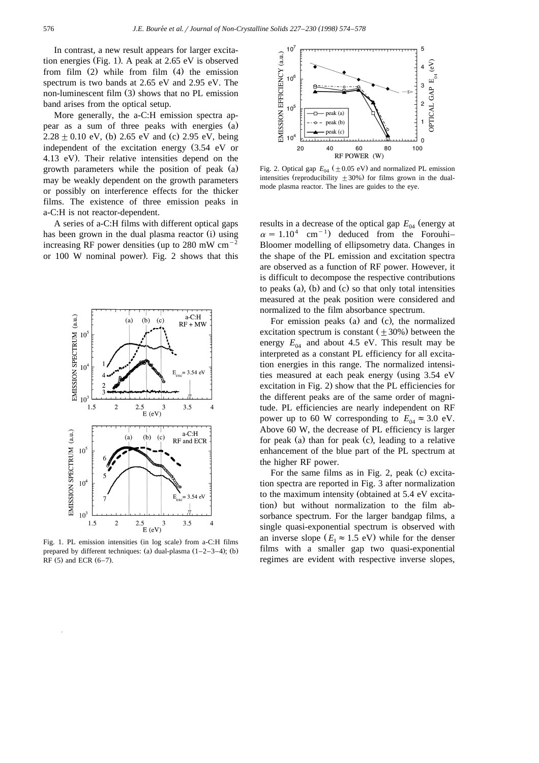In contrast, a new result appears for larger excitation energies (Fig. 1). A peak at  $2.65$  eV is observed from film  $(2)$  while from film  $(4)$  the emission spectrum is two bands at 2.65 eV and 2.95 eV. The non-luminescent film (3) shows that no PL emission band arises from the optical setup.

More generally, the a-C:H emission spectra appear as a sum of three peaks with energies (a)  $2.28 \pm 0.10$  eV, (b) 2.65 eV and (c) 2.95 eV, being independent of the excitation energy  $(3.54 \text{ eV} \text{ or }$ 4.13 eV). Their relative intensities depend on the growth parameters while the position of peak (a) may be weakly dependent on the growth parameters or possibly on interference effects for the thicker films. The existence of three emission peaks in a-C:H is not reactor-dependent.

A series of a-C:H films with different optical gaps has been grown in the dual plasma reactor (i) using increasing RF power densities (up to 280 mW  $cm^{-2}$ or  $100$  W nominal power). Fig. 2 shows that this



Fig. 1. PL emission intensities (in log scale) from a-C:H films prepared by different techniques: (a) dual-plasma  $(1-2-3-4)$ ; (b) RF  $(5)$  and ECR  $(6-7)$ .



Fig. 2. Optical gap  $E_{04}$  ( $\pm$  0.05 eV) and normalized PL emission intensities (reproducibility  $\pm 30\%$ ) for films grown in the dualmode plasma reactor. The lines are guides to the eye.

results in a decrease of the optical gap  $E_{04}$  (energy at  $\alpha = 1.10^4$  cm<sup>-1</sup>) deduced from the Forouhi– Bloomer modelling of ellipsometry data. Changes in the shape of the PL emission and excitation spectra are observed as a function of RF power. However, it is difficult to decompose the respective contributions to peaks (a), (b) and (c) so that only total intensities measured at the peak position were considered and normalized to the film absorbance spectrum.

For emission peaks (a) and (c), the normalized excitation spectrum is constant  $(\pm 30\%)$  between the energy  $E_{04}$  and about 4.5 eV. This result may be interpreted as a constant PL efficiency for all excitation energies in this range. The normalized intensities measured at each peak energy (using  $3.54$  eV excitation in Fig. 2) show that the PL efficiencies for the different peaks are of the same order of magnitude. PL efficiencies are nearly independent on RF power up to 60 W corresponding to  $E_{0.4} \approx 3.0 \text{ eV}$ . Above 60 W, the decrease of PL efficiency is larger for peak (a) than for peak (c), leading to a relative enhancement of the blue part of the PL spectrum at the higher RF power.

For the same films as in Fig. 2, peak  $(c)$  excitation spectra are reported in Fig. 3 after normalization to the maximum intensity (obtained at 5.4 eV excitation) but without normalization to the film absorbance spectrum. For the larger bandgap films, a single quasi-exponential spectrum is observed with an inverse slope  $(E_I \approx 1.5 \text{ eV})$  while for the denser films with a smaller gap two quasi-exponential regimes are evident with respective inverse slopes,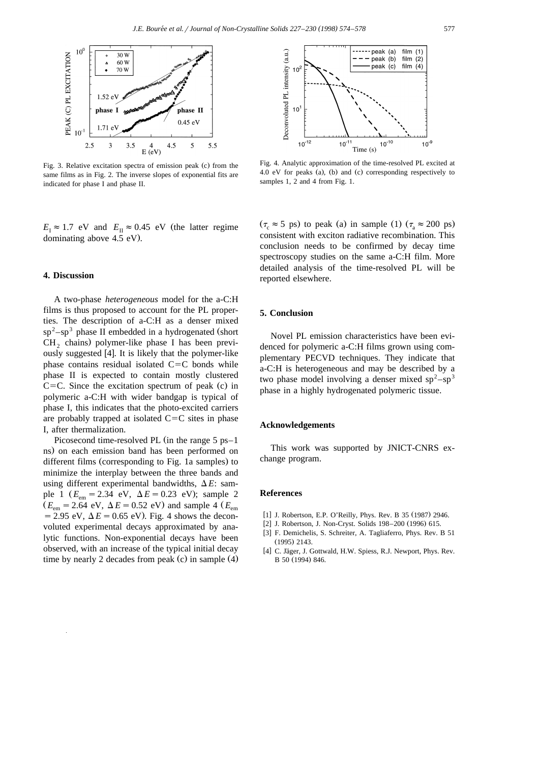

Fig. 3. Relative excitation spectra of emission peak (c) from the same films as in Fig. 2. The inverse slopes of exponential fits are indicated for phase I and phase II.

 $E_{\text{I}} \approx 1.7 \text{ eV}$  and  $E_{\text{II}} \approx 0.45 \text{ eV}$  (the latter regime dominating above  $4.5$  eV).

# **4. Discussion**

A two-phase *heterogeneous* model for the a-C:H films is thus proposed to account for the PL properties. The description of a-C:H as a denser mixed  $sp<sup>2</sup> - sp<sup>3</sup>$  phase II embedded in a hydrogenated (short  $CH<sub>2</sub>$  chains) polymer-like phase I has been previously suggested [4]. It is likely that the polymer-like phase contains residual isolated  $C=C$  bonds while phase II is expected to contain mostly clustered  $C=C$ . Since the excitation spectrum of peak  $(c)$  in polymeric a-C:H with wider bandgap is typical of phase I, this indicates that the photo-excited carriers are probably trapped at isolated  $C=C$  sites in phase I, after thermalization.

Picosecond time-resolved PL (in the range  $5$  ps–1 ns) on each emission band has been performed on different films (corresponding to Fig. 1a samples) to minimize the interplay between the three bands and using different experimental bandwidths,  $\Delta E$ : sample 1 ( $E_{\text{em}} = 2.34 \text{ eV}$ ,  $\Delta E = 0.23 \text{ eV}$ ); sample 2  $(E_{em} = 2.64 \text{ eV}, \Delta E = 0.52 \text{ eV})$  and sample 4  $(E_{em}$  $=$  2.95 eV,  $\Delta E$  = 0.65 eV). Fig. 4 shows the deconvoluted experimental decays approximated by analytic functions. Non-exponential decays have been observed, with an increase of the typical initial decay time by nearly 2 decades from peak  $(c)$  in sample  $(4)$ 



Fig. 4. Analytic approximation of the time-resolved PL excited at 4.0 eV for peaks (a), (b) and (c) corresponding respectively to samples 1, 2 and 4 from Fig. 1.

 $(\tau_c \approx 5 \text{ ps})$  to peak (a) in sample (1)  $(\tau_s \approx 200 \text{ ps})$ consistent with exciton radiative recombination. This conclusion needs to be confirmed by decay time spectroscopy studies on the same a-C:H film. More detailed analysis of the time-resolved PL will be reported elsewhere.

# **5. Conclusion**

Novel PL emission characteristics have been evidenced for polymeric a-C:H films grown using complementary PECVD techniques. They indicate that a-C:H is heterogeneous and may be described by a two phase model involving a denser mixed  $sp^2-sp^3$ phase in a highly hydrogenated polymeric tissue.

#### **Acknowledgements**

This work was supported by JNICT-CNRS exchange program.

#### **References**

- [1] J. Robertson, E.P. O'Reilly, Phys. Rev. B 35 (1987) 2946.
- [2] J. Robertson, J. Non-Cryst. Solids 198-200 (1996) 615.
- [3] F. Demichelis, S. Schreiter, A. Tagliaferro, Phys. Rev. B 51  $(1995)$  2143.
- [4] C. Jäger, J. Gottwald, H.W. Spiess, R.J. Newport, Phys. Rev. B 50 (1994) 846.